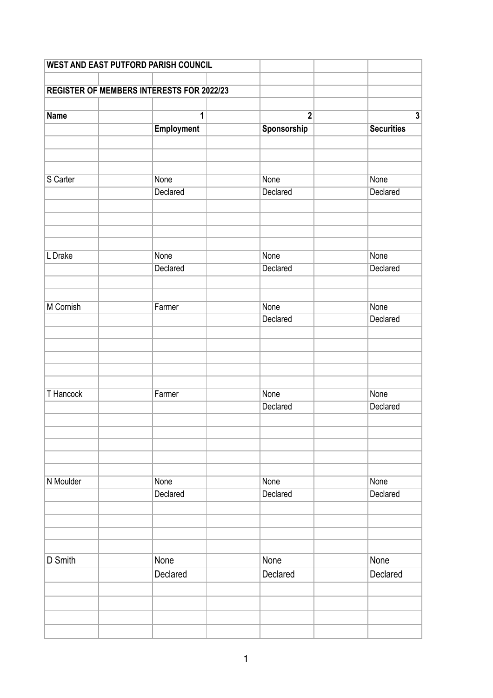| <b>WEST AND EAST PUTFORD PARISH COUNCIL</b> |                                                  |                |                         |
|---------------------------------------------|--------------------------------------------------|----------------|-------------------------|
|                                             |                                                  |                |                         |
|                                             | <b>REGISTER OF MEMBERS INTERESTS FOR 2022/23</b> |                |                         |
|                                             |                                                  |                |                         |
| <b>Name</b>                                 | 1                                                | $\overline{2}$ | $\overline{\mathbf{3}}$ |
|                                             | <b>Employment</b>                                | Sponsorship    | <b>Securities</b>       |
|                                             |                                                  |                |                         |
|                                             |                                                  |                |                         |
|                                             |                                                  |                |                         |
| S Carter                                    | None                                             | None           | None                    |
|                                             | Declared                                         | Declared       | Declared                |
|                                             |                                                  |                |                         |
|                                             |                                                  |                |                         |
|                                             |                                                  |                |                         |
| L Drake                                     | None                                             | None           | None                    |
|                                             | Declared                                         | Declared       | Declared                |
|                                             |                                                  |                |                         |
|                                             |                                                  |                |                         |
| M Cornish                                   | Farmer                                           | None           | None                    |
|                                             |                                                  | Declared       | Declared                |
|                                             |                                                  |                |                         |
|                                             |                                                  |                |                         |
|                                             |                                                  |                |                         |
|                                             |                                                  |                |                         |
|                                             |                                                  |                |                         |
| <b>T</b> Hancock                            | Farmer                                           | None           | None                    |
|                                             |                                                  | Declared       | Declared                |
|                                             |                                                  |                |                         |
|                                             |                                                  |                |                         |
|                                             |                                                  |                |                         |
|                                             |                                                  |                |                         |
|                                             |                                                  |                |                         |
| N Moulder                                   | <b>None</b>                                      | None           | None                    |
|                                             | Declared                                         | Declared       | Declared                |
|                                             |                                                  |                |                         |
|                                             |                                                  |                |                         |
|                                             |                                                  |                |                         |
|                                             |                                                  |                |                         |
| D Smith                                     | None                                             | None           | None                    |
|                                             | Declared                                         | Declared       | Declared                |
|                                             |                                                  |                |                         |
|                                             |                                                  |                |                         |
|                                             |                                                  |                |                         |
|                                             |                                                  |                |                         |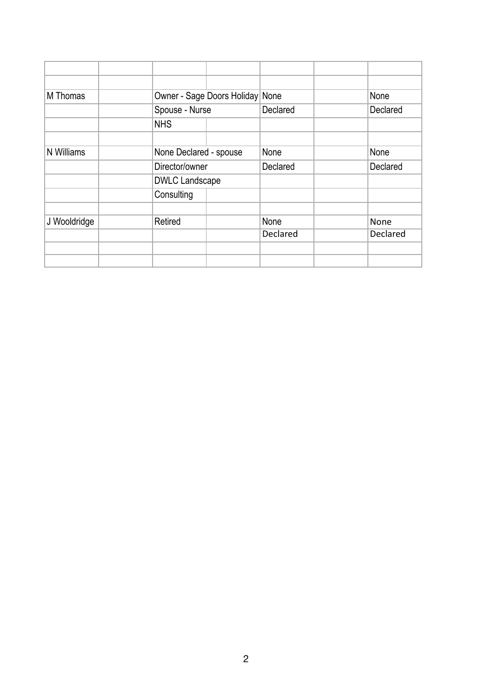| M Thomas     | Owner - Sage Doors Holiday None |                                |                 | None     |
|--------------|---------------------------------|--------------------------------|-----------------|----------|
|              | Spouse - Nurse                  |                                | Declared        | Declared |
|              | <b>NHS</b>                      |                                |                 |          |
|              |                                 |                                |                 |          |
| N Williams   |                                 | None Declared - spouse<br>None |                 | None     |
|              | Director/owner                  |                                | Declared        | Declared |
|              | <b>DWLC Landscape</b>           |                                |                 |          |
|              | Consulting                      |                                |                 |          |
|              |                                 |                                |                 |          |
| J Wooldridge | Retired                         |                                | None            | None     |
|              |                                 |                                | <b>Declared</b> | Declared |
|              |                                 |                                |                 |          |
|              |                                 |                                |                 |          |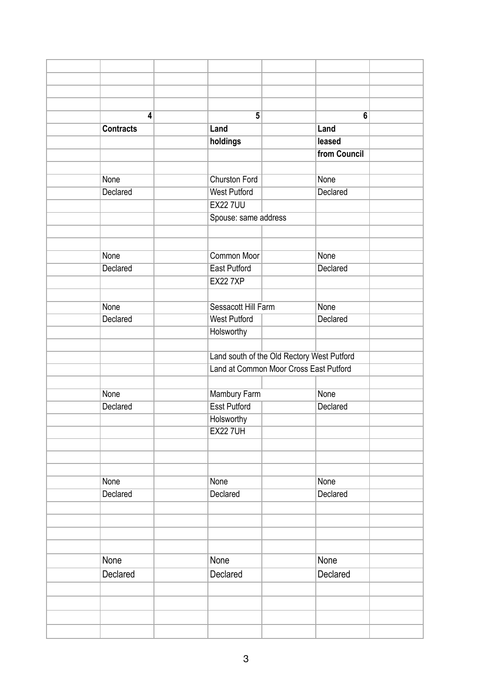| 4                | $5\phantom{a}$       |                                            | $6\phantom{a}$ |  |
|------------------|----------------------|--------------------------------------------|----------------|--|
| <b>Contracts</b> | Land                 |                                            | Land           |  |
|                  | holdings             |                                            | leased         |  |
|                  |                      |                                            | from Council   |  |
|                  |                      |                                            |                |  |
| None             | <b>Churston Ford</b> |                                            | None           |  |
| Declared         | <b>West Putford</b>  |                                            | Declared       |  |
|                  | <b>EX22 7UU</b>      |                                            |                |  |
|                  | Spouse: same address |                                            |                |  |
|                  |                      |                                            |                |  |
|                  |                      |                                            |                |  |
| None             | <b>Common Moor</b>   |                                            | None           |  |
| Declared         | <b>East Putford</b>  |                                            | Declared       |  |
|                  | <b>EX22 7XP</b>      |                                            |                |  |
|                  |                      |                                            |                |  |
| <b>None</b>      | Sessacott Hill Farm  |                                            | None           |  |
| Declared         | <b>West Putford</b>  |                                            | Declared       |  |
|                  | Holsworthy           |                                            |                |  |
|                  |                      |                                            |                |  |
|                  |                      | Land south of the Old Rectory West Putford |                |  |
|                  |                      | Land at Common Moor Cross East Putford     |                |  |
|                  |                      |                                            |                |  |
| None             | Mambury Farm         |                                            | None           |  |
| Declared         | <b>Esst Putford</b>  |                                            | Declared       |  |
|                  | Holsworthy           |                                            |                |  |
|                  | <b>EX22 7UH</b>      |                                            |                |  |
|                  |                      |                                            |                |  |
|                  |                      |                                            |                |  |
|                  |                      |                                            |                |  |
| <b>None</b>      | None                 |                                            | None           |  |
| Declared         | Declared             |                                            | Declared       |  |
|                  |                      |                                            |                |  |
|                  |                      |                                            |                |  |
|                  |                      |                                            |                |  |
|                  |                      |                                            |                |  |
| None             | None                 |                                            | None           |  |
| Declared         | Declared             |                                            | Declared       |  |
|                  |                      |                                            |                |  |
|                  |                      |                                            |                |  |
|                  |                      |                                            |                |  |
|                  |                      |                                            |                |  |
|                  |                      |                                            |                |  |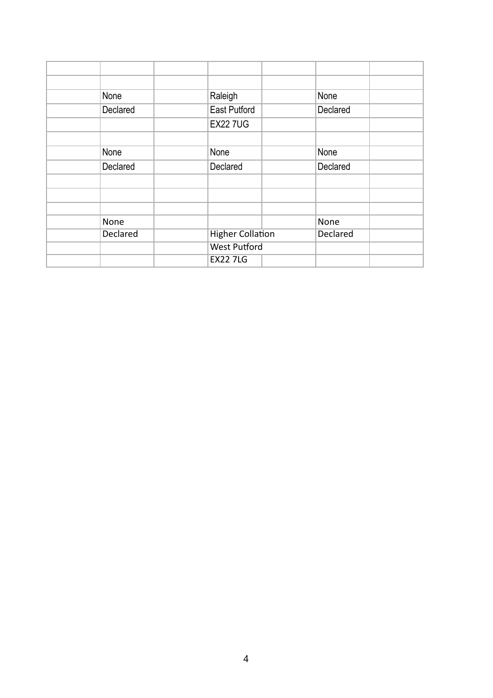| None            | Raleigh                 |  | None            |  |
|-----------------|-------------------------|--|-----------------|--|
| Declared        | <b>East Putford</b>     |  | Declared        |  |
|                 | <b>EX227UG</b>          |  |                 |  |
|                 |                         |  |                 |  |
| None            | None                    |  | None            |  |
| Declared        | Declared                |  | Declared        |  |
|                 |                         |  |                 |  |
|                 |                         |  |                 |  |
|                 |                         |  |                 |  |
| None            |                         |  | None            |  |
| <b>Declared</b> | <b>Higher Collation</b> |  | <b>Declared</b> |  |
|                 | <b>West Putford</b>     |  |                 |  |
|                 | <b>EX22 7LG</b>         |  |                 |  |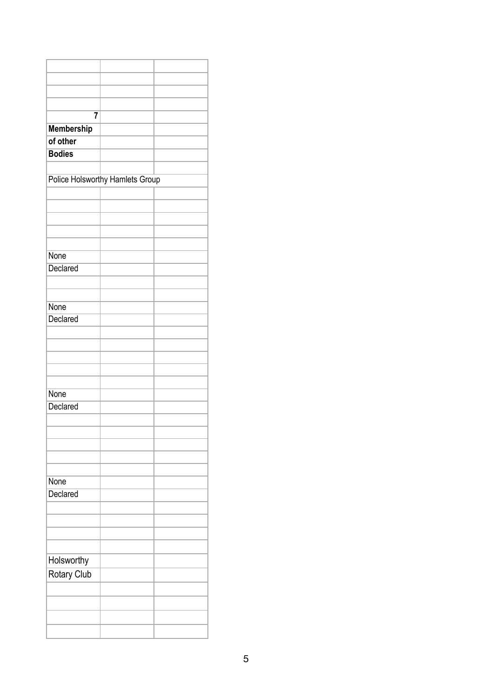| $\overline{7}$    |                                 |  |
|-------------------|---------------------------------|--|
| <b>Membership</b> |                                 |  |
| of other          |                                 |  |
| <b>Bodies</b>     |                                 |  |
|                   |                                 |  |
|                   |                                 |  |
|                   | Police Holsworthy Hamlets Group |  |
|                   |                                 |  |
|                   |                                 |  |
|                   |                                 |  |
|                   |                                 |  |
|                   |                                 |  |
| None              |                                 |  |
| Declared          |                                 |  |
|                   |                                 |  |
|                   |                                 |  |
| None              |                                 |  |
| Declared          |                                 |  |
|                   |                                 |  |
|                   |                                 |  |
|                   |                                 |  |
|                   |                                 |  |
|                   |                                 |  |
| None              |                                 |  |
| Declared          |                                 |  |
|                   |                                 |  |
|                   |                                 |  |
|                   |                                 |  |
|                   |                                 |  |
|                   |                                 |  |
| None              |                                 |  |
| Declared          |                                 |  |
|                   |                                 |  |
|                   |                                 |  |
|                   |                                 |  |
|                   |                                 |  |
|                   |                                 |  |
| Holsworthy        |                                 |  |
| Rotary Club       |                                 |  |
|                   |                                 |  |
|                   |                                 |  |
|                   |                                 |  |
|                   |                                 |  |
|                   |                                 |  |